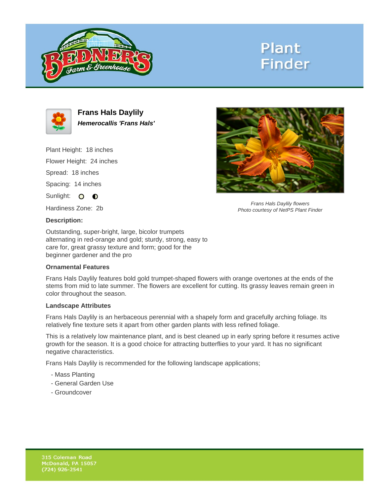

# **Plant Finder**



**Frans Hals Daylily Hemerocallis 'Frans Hals'**

Plant Height: 18 inches Flower Height: 24 inches Spread: 18 inches Spacing: 14 inches

Sunlight: O **O** 

Hardiness Zone: 2b

## **Description:**

Outstanding, super-bright, large, bicolor trumpets alternating in red-orange and gold; sturdy, strong, easy to care for, great grassy texture and form; good for the beginner gardener and the pro

### **Ornamental Features**

Frans Hals Daylily features bold gold trumpet-shaped flowers with orange overtones at the ends of the stems from mid to late summer. The flowers are excellent for cutting. Its grassy leaves remain green in color throughout the season.

### **Landscape Attributes**

Frans Hals Daylily is an herbaceous perennial with a shapely form and gracefully arching foliage. Its relatively fine texture sets it apart from other garden plants with less refined foliage.

This is a relatively low maintenance plant, and is best cleaned up in early spring before it resumes active growth for the season. It is a good choice for attracting butterflies to your yard. It has no significant negative characteristics.

Frans Hals Daylily is recommended for the following landscape applications;

- Mass Planting
- General Garden Use
- Groundcover



Frans Hals Daylily flowers Photo courtesy of NetPS Plant Finder